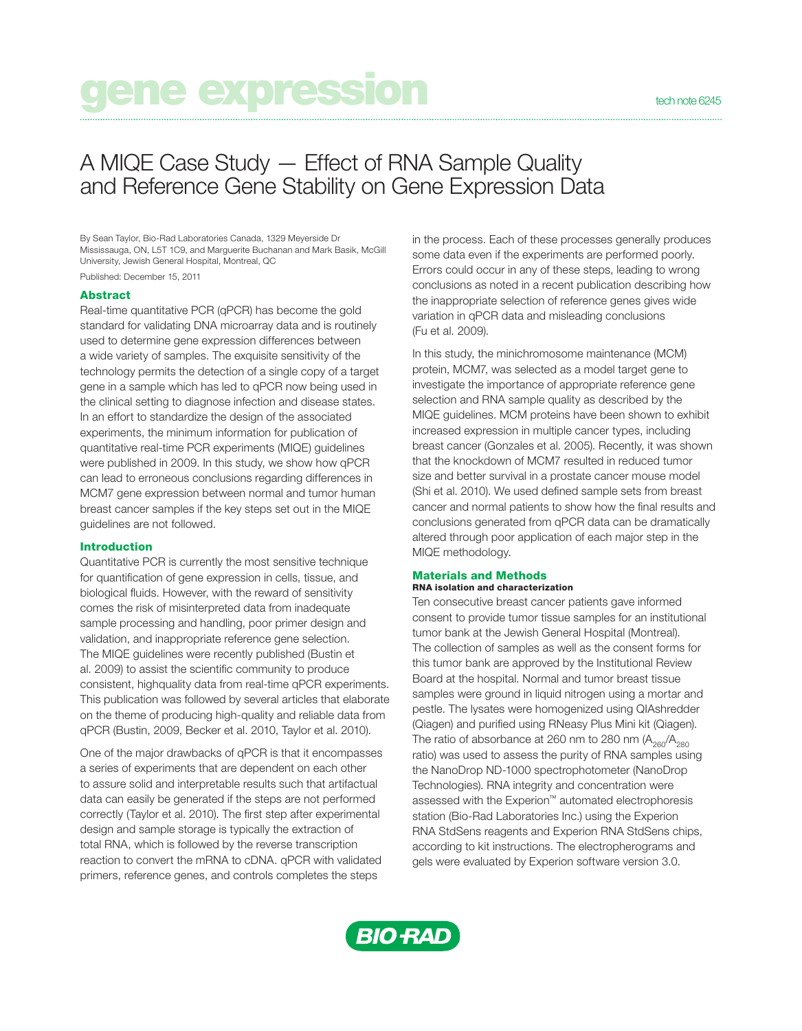# gene expression technologie

# A MIQE Case Study — Effect of RNA Sample Quality and Reference Gene Stability on Gene Expression Data

By Sean Taylor, Bio-Rad Laboratories Canada, 1329 Meyerside Dr Mississauga, ON, L5T 1C9, and Marguerite Buchanan and Mark Basik, McGill University, Jewish General Hospital, Montreal, QC Published: December 15, 2011

### Abstract

Real-time quantitative PCR (qPCR) has become the gold standard for validating DNA microarray data and is routinely used to determine gene expression differences between a wide variety of samples. The exquisite sensitivity of the technology permits the detection of a single copy of a target gene in a sample which has led to qPCR now being used in the clinical setting to diagnose infection and disease states. In an effort to standardize the design of the associated experiments, the minimum information for publication of quantitative real-time PCR experiments (MIQE) guidelines were published in 2009. In this study, we show how qPCR can lead to erroneous conclusions regarding differences in MCM7 gene expression between normal and tumor human breast cancer samples if the key steps set out in the MIQE guidelines are not followed.

## Introduction

Quantitative PCR is currently the most sensitive technique for quantification of gene expression in cells, tissue, and biological fluids. However, with the reward of sensitivity comes the risk of misinterpreted data from inadequate sample processing and handling, poor primer design and validation, and inappropriate reference gene selection. The MIQE guidelines were recently published (Bustin et al. 2009) to assist the scientific community to produce consistent, highquality data from real-time qPCR experiments. This publication was followed by several articles that elaborate on the theme of producing high-quality and reliable data from qPCR (Bustin, 2009, Becker et al. 2010, Taylor et al. 2010).

One of the major drawbacks of qPCR is that it encompasses a series of experiments that are dependent on each other to assure solid and interpretable results such that artifactual data can easily be generated if the steps are not performed correctly (Taylor et al. 2010). The first step after experimental design and sample storage is typically the extraction of total RNA, which is followed by the reverse transcription reaction to convert the mRNA to cDNA. qPCR with validated primers, reference genes, and controls completes the steps

in the process. Each of these processes generally produces some data even if the experiments are performed poorly. Errors could occur in any of these steps, leading to wrong conclusions as noted in a recent publication describing how the inappropriate selection of reference genes gives wide variation in qPCR data and misleading conclusions (Fu et al. 2009).

In this study, the minichromosome maintenance (MCM) protein, MCM7, was selected as a model target gene to investigate the importance of appropriate reference gene selection and RNA sample quality as described by the MIQE guidelines. MCM proteins have been shown to exhibit increased expression in multiple cancer types, including breast cancer (Gonzales et al. 2005). Recently, it was shown that the knockdown of MCM7 resulted in reduced tumor size and better survival in a prostate cancer mouse model (Shi et al. 2010). We used defined sample sets from breast cancer and normal patients to show how the final results and conclusions generated from qPCR data can be dramatically altered through poor application of each major step in the MIQE methodology.

#### Materials and Methods RNA isolation and characterization

Ten consecutive breast cancer patients gave informed consent to provide tumor tissue samples for an institutional tumor bank at the Jewish General Hospital (Montreal). The collection of samples as well as the consent forms for this tumor bank are approved by the Institutional Review Board at the hospital. Normal and tumor breast tissue samples were ground in liquid nitrogen using a mortar and pestle. The lysates were homogenized using QIAshredder (Qiagen) and purified using RNeasy Plus Mini kit (Qiagen). The ratio of absorbance at 260 nm to 280 nm  $(A_{260}/A_{280})$ ratio) was used to assess the purity of RNA samples using the NanoDrop ND-1000 spectrophotometer (NanoDrop Technologies). RNA integrity and concentration were assessed with the Experion™ automated electrophoresis station (Bio-Rad Laboratories Inc.) using the Experion RNA StdSens reagents and Experion RNA StdSens chips, according to kit instructions. The electropherograms and gels were evaluated by Experion software version 3.0.

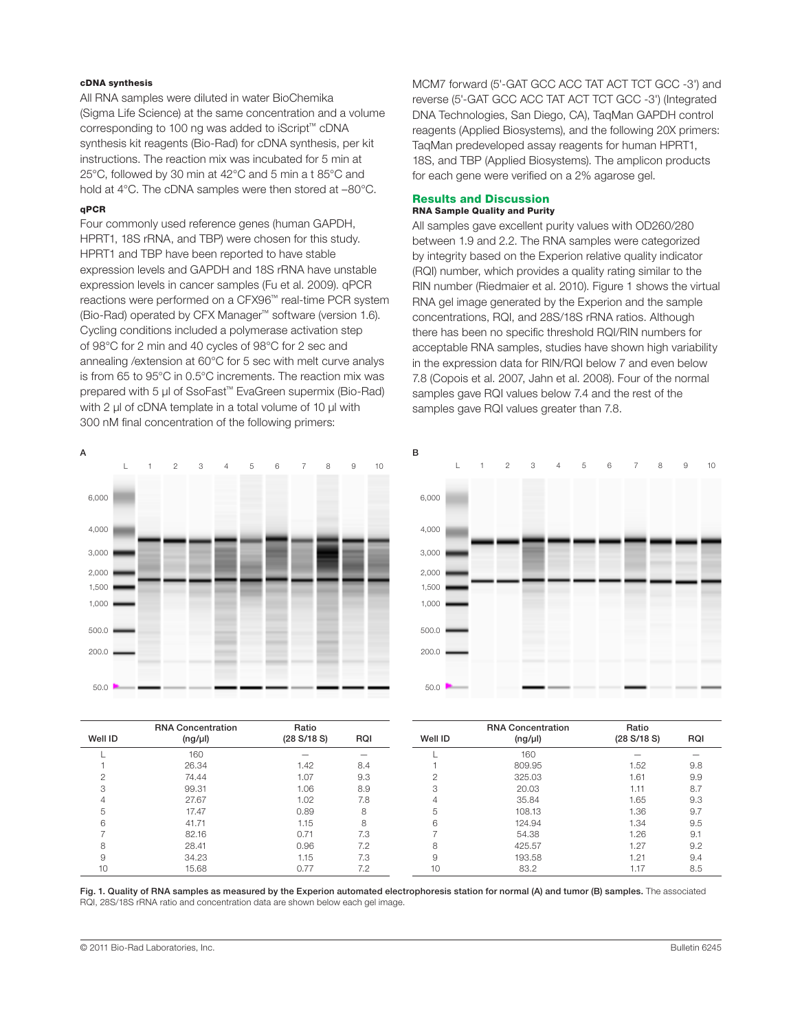# cDNA synthesis

All RNA samples were diluted in water BioChemika (Sigma Life Science) at the same concentration and a volume corresponding to 100 ng was added to iScript™ cDNA synthesis kit reagents (Bio-Rad) for cDNA synthesis, per kit instructions. The reaction mix was incubated for 5 min at 25°C, followed by 30 min at 42°C and 5 min a t 85°C and hold at 4°C. The cDNA samples were then stored at -80°C.

### qPCR

Four commonly used reference genes (human GAPDH, HPRT1, 18S rRNA, and TBP) were chosen for this study. HPRT1 and TBP have been reported to have stable expression levels and GAPDH and 18S rRNA have unstable expression levels in cancer samples (Fu et al. 2009). qPCR reactions were performed on a CFX96™ real-time PCR system (Bio-Rad) operated by CFX Manager™ software (version 1.6). Cycling conditions included a polymerase activation step of 98°C for 2 min and 40 cycles of 98°C for 2 sec and annealing /extension at 60°C for 5 sec with melt curve analys is from 65 to 95°C in 0.5°C increments. The reaction mix was prepared with 5 μl of SsoFast™ EvaGreen supermix (Bio-Rad) with 2 μl of cDNA template in a total volume of 10 μl with 300 nM final concentration of the following primers:

MCM7 forward (5'-GAT GCC ACC TAT ACT TCT GCC -3') and reverse (5'-GAT GCC ACC TAT ACT TCT GCC -3') (Integrated DNA Technologies, San Diego, CA), TaqMan GAPDH control reagents (Applied Biosystems), and the following 20X primers: TaqMan predeveloped assay reagents for human HPRT1, 18S, and TBP (Applied Biosystems). The amplicon products for each gene were verified on a 2% agarose gel.

# Results and Discussion

# RNA Sample Quality and Purity

All samples gave excellent purity values with OD260/280 between 1.9 and 2.2. The RNA samples were categorized by integrity based on the Experion relative quality indicator (RQI) number, which provides a quality rating similar to the RIN number (Riedmaier et al. 2010). Figure 1 shows the virtual RNA gel image generated by the Experion and the sample concentrations, RQI, and 28S/18S rRNA ratios. Although there has been no specific threshold RQI/RIN numbers for acceptable RNA samples, studies have shown high variability in the expression data for RIN/RQI below 7 and even below 7.8 (Copois et al. 2007, Jahn et al. 2008). Four of the normal samples gave RQI values below 7.4 and the rest of the samples gave RQI values greater than 7.8.



|  | $\overline{c}$ | 3 | 4 | 5 | 6 | $\overline{7}$ | 8 | $\mathsf g$ | 10 |       | ┖ | $\overline{2}$ | 3 | 4 | 5 | 6 | $7^{\circ}$ | 8 | $\mathsf g$ | 10 |
|--|----------------|---|---|---|---|----------------|---|-------------|----|-------|---|----------------|---|---|---|---|-------------|---|-------------|----|
|  |                |   |   |   |   |                |   |             |    | 6,000 |   |                |   |   |   |   |             |   |             |    |
|  |                |   |   |   |   |                |   |             |    |       |   |                |   |   |   |   |             |   |             |    |
|  |                |   |   |   |   |                |   |             |    | 4,000 |   |                |   |   |   |   |             |   |             |    |
|  |                |   |   |   |   |                |   |             |    | 3,000 |   |                |   |   |   |   |             |   |             |    |
|  |                |   |   |   |   |                |   |             |    | 2,000 |   |                |   |   |   |   |             |   |             |    |
|  |                |   |   |   |   |                |   |             |    | 1,500 |   |                |   |   |   |   |             |   |             |    |
|  |                |   |   |   |   |                |   |             |    | 1,000 |   |                |   |   |   |   |             |   |             |    |
|  |                |   |   |   |   |                |   |             |    | 500.0 |   |                |   |   |   |   |             |   |             |    |
|  |                |   |   |   |   |                |   |             |    | 200.0 |   |                |   |   |   |   |             |   |             |    |
|  |                |   |   |   |   |                |   |             |    |       |   |                |   |   |   |   |             |   |             |    |
|  |                |   |   |   |   |                |   |             |    | 50.0  |   |                |   |   |   |   |             |   |             |    |

| Well ID | <b>RNA Concentration</b> | Ratio<br>(28 S/18 S) |     | Well ID | <b>RNA Concentration</b> | Ratio<br>(28 S/18 S) |     |
|---------|--------------------------|----------------------|-----|---------|--------------------------|----------------------|-----|
|         | $(ng/\mu l)$             |                      | RQI |         | $(ng/\mu l)$             |                      | RQI |
|         | 160                      |                      |     |         | 160                      |                      |     |
|         | 26.34                    | 1.42                 | 8.4 |         | 809.95                   | 1.52                 | 9.8 |
|         | 74.44                    | 1.07                 | 9.3 |         | 325.03                   | 1.61                 | 9.9 |
| 3       | 99.31                    | 1.06                 | 8.9 |         | 20.03                    | 1.11                 | 8.7 |
| ↵       | 27.67                    | 1.02                 | 7.8 |         | 35.84                    | 1.65                 | 9.3 |
| 5       | 17.47                    | 0.89                 | 8   | 5       | 108.13                   | 1.36                 | 9.7 |
| 6       | 41.71                    | 1.15                 | я   | 6       | 124.94                   | 1.34                 | 9.5 |
|         | 82.16                    | 0.71                 | 7.3 |         | 54.38                    | 1.26                 | 9.1 |
| 8       | 28.41                    | 0.96                 | 7.2 |         | 425.57                   | 1.27                 | 9.2 |
| 9       | 34.23                    | 1.15                 | 7.3 | 9       | 193.58                   | 1.21                 | 9.4 |
| 10      | 15.68                    | 0.77                 | 7.2 | 10      | 83.2                     | 1.17                 | 8.5 |

Fig. 1. Quality of RNA samples as measured by the Experion automated electrophoresis station for normal (A) and tumor (B) samples. The associated RQI, 28S/18S rRNA ratio and concentration data are shown below each gel image.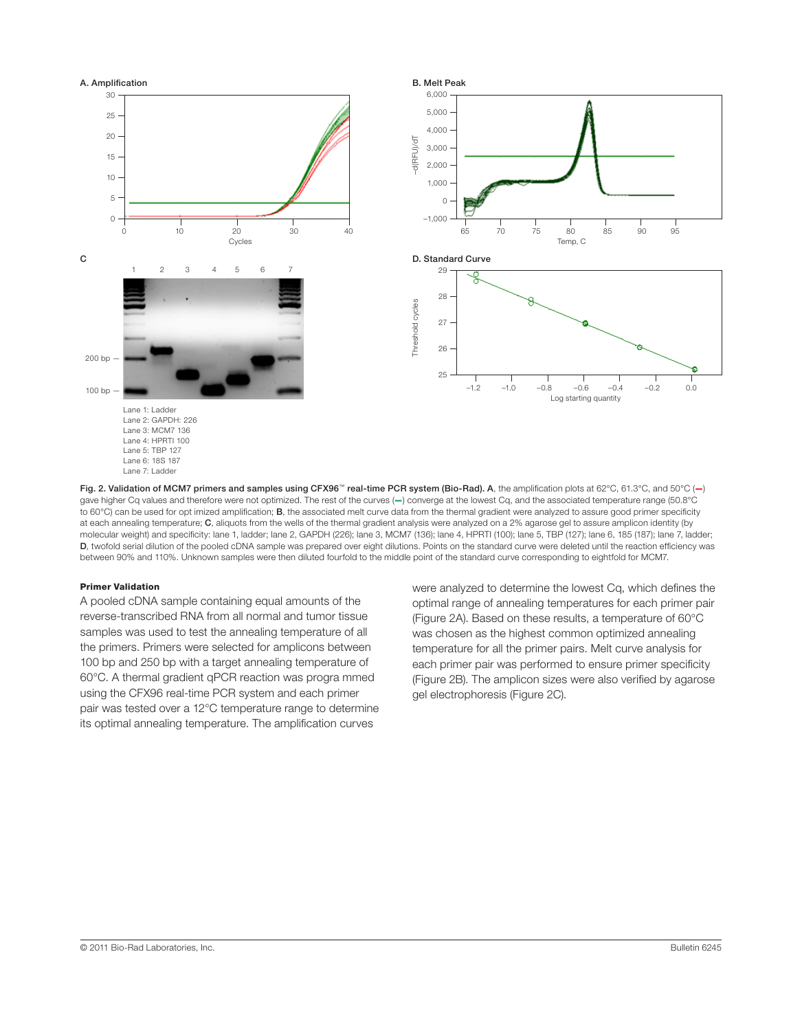

Fig. 2. Validation of MCM7 primers and samples using CFX96™ real-time PCR system (Bio-Rad). A, the amplification plots at 62°C, 61.3°C, and 50°C (-) gave higher Cq values and therefore were not optimized. The rest of the curves (—) converge at the lowest Cq, and the associated temperature range (50.8°C to 60°C) can be used for opt imized amplification; **B**, the associated melt curve data from the thermal gradient were analyzed to assure good primer specificity at each annealing temperature; C, aliquots from the wells of the thermal gradient analysis were analyzed on a 2% agarose gel to assure amplicon identity (by molecular weight) and specificity: lane 1, ladder; lane 2, GAPDH (226); lane 3, MCM7 (136); lane 4, HPRTI (100); lane 5, TBP (127); lane 6, 185 (187); lane 7, ladder; D, twofold serial dilution of the pooled cDNA sample was prepared over eight dilutions. Points on the standard curve were deleted until the reaction efficiency was between 90% and 110%. Unknown samples were then diluted fourfold to the middle point of the standard curve corresponding to eightfold for MCM7.

# Primer Validation

A pooled cDNA sample containing equal amounts of the reverse-transcribed RNA from all normal and tumor tissue samples was used to test the annealing temperature of all the primers. Primers were selected for amplicons between 100 bp and 250 bp with a target annealing temperature of 60°C. A thermal gradient qPCR reaction was progra mmed using the CFX96 real-time PCR system and each primer pair was tested over a 12°C temperature range to determine its optimal annealing temperature. The amplification curves

were analyzed to determine the lowest Cq, which defines the optimal range of annealing temperatures for each primer pair (Figure 2A). Based on these results, a temperature of 60°C was chosen as the highest common optimized annealing temperature for all the primer pairs. Melt curve analysis for each primer pair was performed to ensure primer specificity (Figure 2B). The amplicon sizes were also verified by agarose gel electrophoresis (Figure 2C).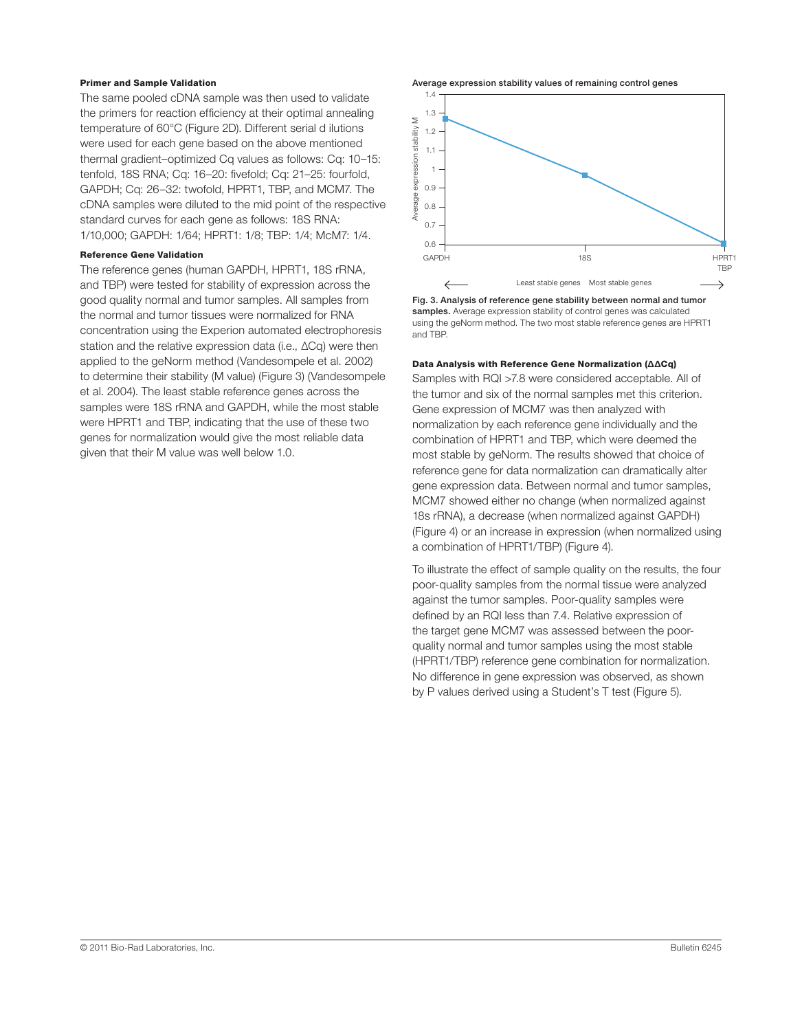# Primer and Sample Validation

The same pooled cDNA sample was then used to validate the primers for reaction efficiency at their optimal annealing temperature of 60°C (Figure 2D). Different serial d ilutions were used for each gene based on the above mentioned thermal gradient–optimized Cq values as follows: Cq: 10–15: tenfold, 18S RNA; Cq: 16–20: fivefold; Cq: 21–25: fourfold, GAPDH; Cq: 26–32: twofold, HPRT1, TBP, and MCM7. The cDNA samples were diluted to the mid point of the respective standard curves for each gene as follows: 18S RNA: 1/10,000; GAPDH: 1/64; HPRT1: 1/8; TBP: 1/4; McM7: 1/4.

# Reference Gene Validation

The reference genes (human GAPDH, HPRT1, 18S rRNA, and TBP) were tested for stability of expression across the good quality normal and tumor samples. All samples from the normal and tumor tissues were normalized for RNA concentration using the Experion automated electrophoresis station and the relative expression data (i.e., ΔCq) were then applied to the geNorm method (Vandesompele et al. 2002) to determine their stability (M value) (Figure 3) (Vandesompele et al. 2004). The least stable reference genes across the samples were 18S rRNA and GAPDH, while the most stable were HPRT1 and TBP, indicating that the use of these two genes for normalization would give the most reliable data given that their M value was well below 1.0.

Average expression stability values of remaining control genes



Fig. 3. Analysis of reference gene stability between normal and tumor samples. Average expression stability of control genes was calculated using the geNorm method. The two most stable reference genes are HPRT1 and TBP.

#### Data Analysis with Reference Gene Normalization (ΔΔCq)

Samples with RQI >7.8 were considered acceptable. All of the tumor and six of the normal samples met this criterion. Gene expression of MCM7 was then analyzed with normalization by each reference gene individually and the combination of HPRT1 and TBP, which were deemed the most stable by geNorm. The results showed that choice of reference gene for data normalization can dramatically alter gene expression data. Between normal and tumor samples, MCM7 showed either no change (when normalized against 18s rRNA), a decrease (when normalized against GAPDH) (Figure 4) or an increase in expression (when normalized using a combination of HPRT1/TBP) (Figure 4).

To illustrate the effect of sample quality on the results, the four poor-quality samples from the normal tissue were analyzed against the tumor samples. Poor-quality samples were defined by an RQI less than 7.4. Relative expression of the target gene MCM7 was assessed between the poorquality normal and tumor samples using the most stable (HPRT1/TBP) reference gene combination for normalization. No difference in gene expression was observed, as shown by P values derived using a Student's T test (Figure 5).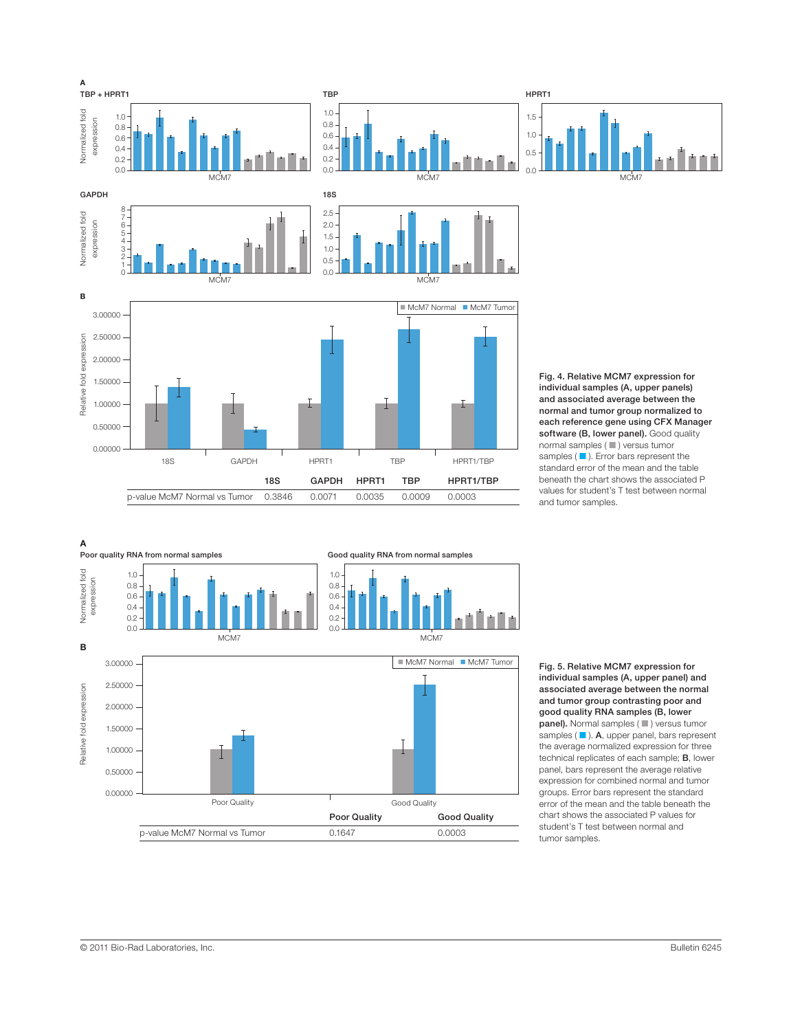



Fig. 5. Relative MCM7 expression for individual samples (A, upper panel) and associated average between the normal and tumor group contrasting poor and good quality RNA samples (B, lower panel). Normal samples ( ■ ) versus tumor samples (■). A, upper panel, bars represent the average normalized expression for three technical replicates of each sample; B, lower panel, bars represent the average relative expression for combined normal and tumor groups. Error bars represent the standard error of the mean and the table beneath the chart shows the associated P values for student's T test between normal and tumor samples.